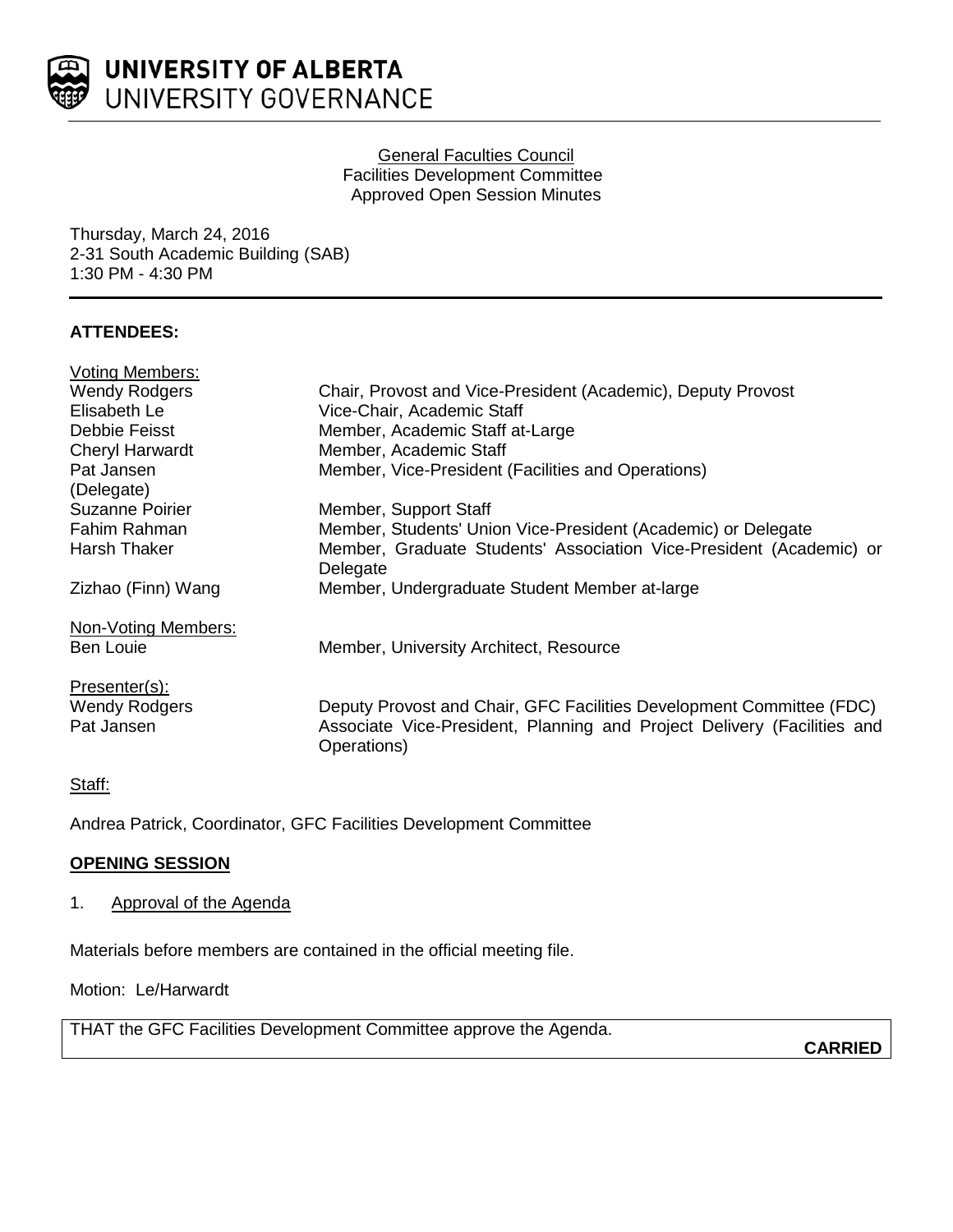

### General Faculties Council Facilities Development Committee Approved Open Session Minutes

Thursday, March 24, 2016 2-31 South Academic Building (SAB) 1:30 PM - 4:30 PM

## **ATTENDEES:**

| Chair, Provost and Vice-President (Academic), Deputy Provost                                                                                                   |
|----------------------------------------------------------------------------------------------------------------------------------------------------------------|
| Vice-Chair, Academic Staff                                                                                                                                     |
| Member, Academic Staff at-Large                                                                                                                                |
| Member, Academic Staff                                                                                                                                         |
| Member, Vice-President (Facilities and Operations)                                                                                                             |
|                                                                                                                                                                |
| Member, Support Staff                                                                                                                                          |
| Member, Students' Union Vice-President (Academic) or Delegate                                                                                                  |
| Member, Graduate Students' Association Vice-President (Academic) or<br>Delegate                                                                                |
| Member, Undergraduate Student Member at-large                                                                                                                  |
|                                                                                                                                                                |
| Member, University Architect, Resource                                                                                                                         |
|                                                                                                                                                                |
| Deputy Provost and Chair, GFC Facilities Development Committee (FDC)<br>Associate Vice-President, Planning and Project Delivery (Facilities and<br>Operations) |
|                                                                                                                                                                |

### Staff:

Andrea Patrick, Coordinator, GFC Facilities Development Committee

# **OPENING SESSION**

## 1. Approval of the Agenda

Materials before members are contained in the official meeting file.

Motion: Le/Harwardt

THAT the GFC Facilities Development Committee approve the Agenda.

**CARRIED**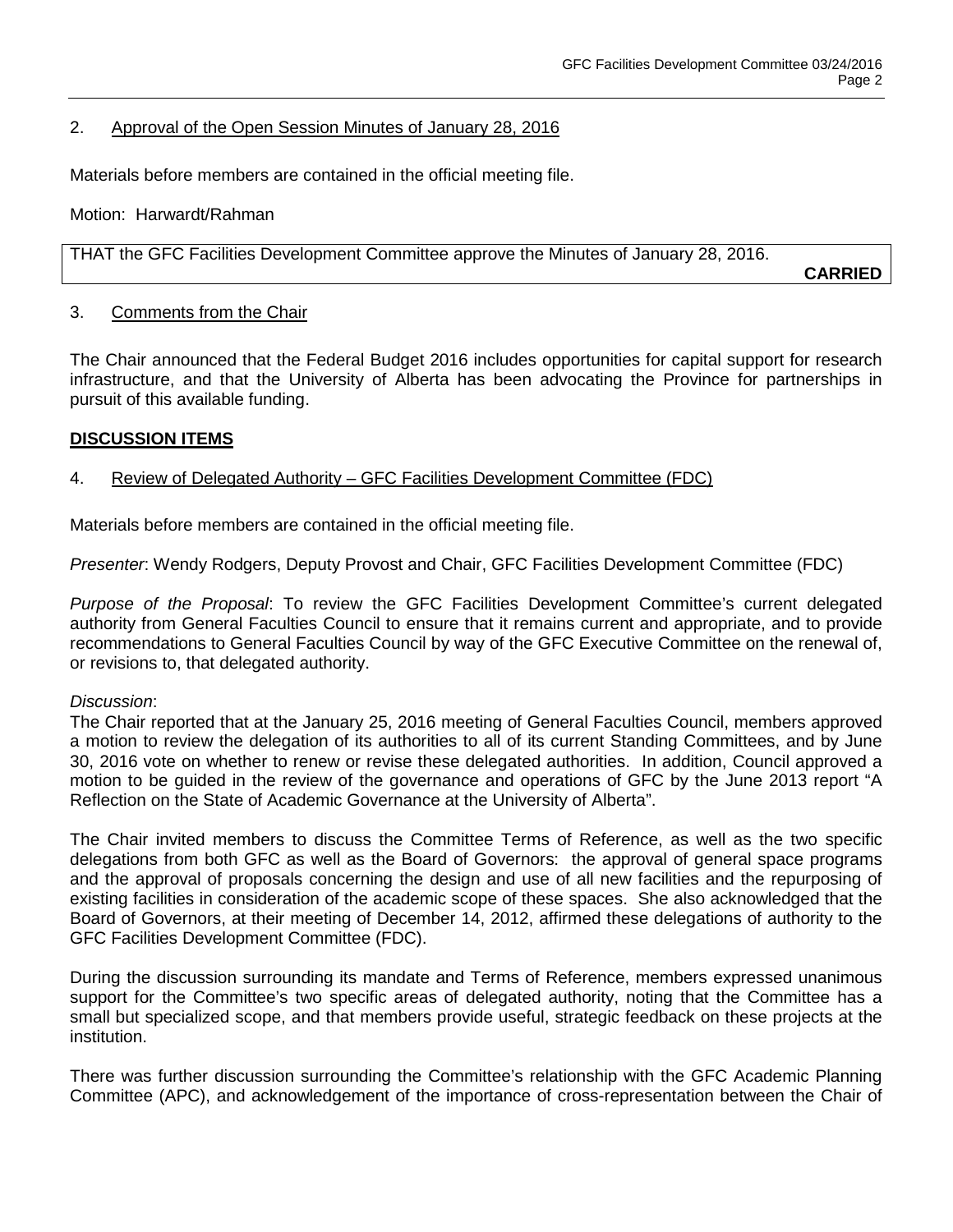### 2. Approval of the Open Session Minutes of January 28, 2016

Materials before members are contained in the official meeting file.

Motion: Harwardt/Rahman

THAT the GFC Facilities Development Committee approve the Minutes of January 28, 2016.

**CARRIED**

#### 3. Comments from the Chair

The Chair announced that the Federal Budget 2016 includes opportunities for capital support for research infrastructure, and that the University of Alberta has been advocating the Province for partnerships in pursuit of this available funding.

### **DISCUSSION ITEMS**

### 4. Review of Delegated Authority - GFC Facilities Development Committee (FDC)

Materials before members are contained in the official meeting file.

*Presenter*: Wendy Rodgers, Deputy Provost and Chair, GFC Facilities Development Committee (FDC)

*Purpose of the Proposal*: To review the GFC Facilities Development Committee's current delegated authority from General Faculties Council to ensure that it remains current and appropriate, and to provide recommendations to General Faculties Council by way of the GFC Executive Committee on the renewal of, or revisions to, that delegated authority.

#### *Discussion*:

The Chair reported that at the January 25, 2016 meeting of General Faculties Council, members approved a motion to review the delegation of its authorities to all of its current Standing Committees, and by June 30, 2016 vote on whether to renew or revise these delegated authorities. In addition, Council approved a motion to be guided in the review of the governance and operations of GFC by the June 2013 report "A Reflection on the State of Academic Governance at the University of Alberta".

The Chair invited members to discuss the Committee Terms of Reference, as well as the two specific delegations from both GFC as well as the Board of Governors: the approval of general space programs and the approval of proposals concerning the design and use of all new facilities and the repurposing of existing facilities in consideration of the academic scope of these spaces. She also acknowledged that the Board of Governors, at their meeting of December 14, 2012, affirmed these delegations of authority to the GFC Facilities Development Committee (FDC).

During the discussion surrounding its mandate and Terms of Reference, members expressed unanimous support for the Committee's two specific areas of delegated authority, noting that the Committee has a small but specialized scope, and that members provide useful, strategic feedback on these projects at the institution.

There was further discussion surrounding the Committee's relationship with the GFC Academic Planning Committee (APC), and acknowledgement of the importance of cross-representation between the Chair of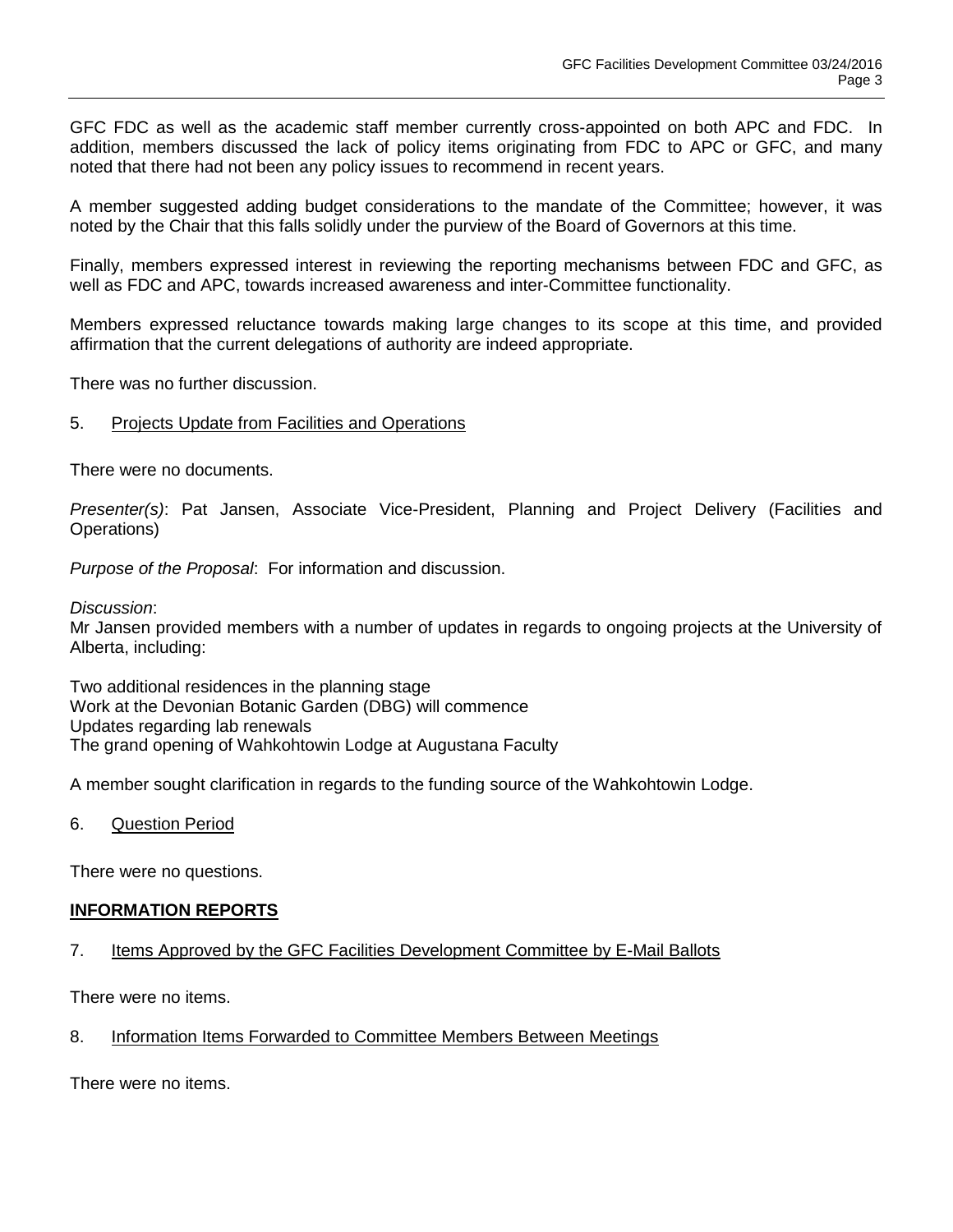GFC FDC as well as the academic staff member currently cross-appointed on both APC and FDC. In addition, members discussed the lack of policy items originating from FDC to APC or GFC, and many noted that there had not been any policy issues to recommend in recent years.

A member suggested adding budget considerations to the mandate of the Committee; however, it was noted by the Chair that this falls solidly under the purview of the Board of Governors at this time.

Finally, members expressed interest in reviewing the reporting mechanisms between FDC and GFC, as well as FDC and APC, towards increased awareness and inter-Committee functionality.

Members expressed reluctance towards making large changes to its scope at this time, and provided affirmation that the current delegations of authority are indeed appropriate.

There was no further discussion.

### 5. Projects Update from Facilities and Operations

There were no documents.

*Presenter(s)*: Pat Jansen, Associate Vice-President, Planning and Project Delivery (Facilities and Operations)

*Purpose of the Proposal*: For information and discussion.

*Discussion*:

Mr Jansen provided members with a number of updates in regards to ongoing projects at the University of Alberta, including:

Two additional residences in the planning stage Work at the Devonian Botanic Garden (DBG) will commence Updates regarding lab renewals The grand opening of Wahkohtowin Lodge at Augustana Faculty

A member sought clarification in regards to the funding source of the Wahkohtowin Lodge.

6. Question Period

There were no questions.

#### **INFORMATION REPORTS**

7. Items Approved by the GFC Facilities Development Committee by E-Mail Ballots

There were no items.

8. Information Items Forwarded to Committee Members Between Meetings

There were no items.